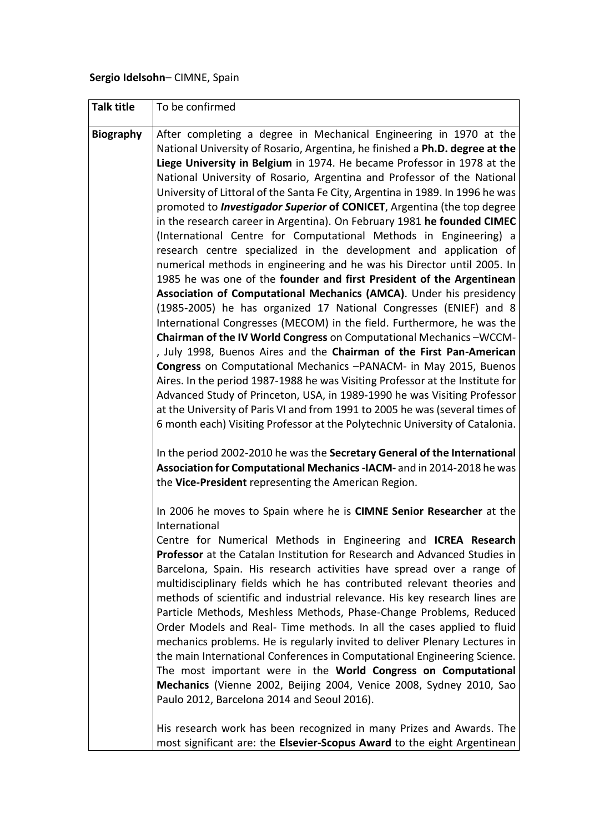## **Sergio Idelsohn**– CIMNE, Spain

| <b>Talk title</b> | To be confirmed                                                                                                                                                                                                                                                                                                                                                                                                                                                                                                                                                                                                                                                                                                                                                                                                                                                                                                                                                                                                                                  |
|-------------------|--------------------------------------------------------------------------------------------------------------------------------------------------------------------------------------------------------------------------------------------------------------------------------------------------------------------------------------------------------------------------------------------------------------------------------------------------------------------------------------------------------------------------------------------------------------------------------------------------------------------------------------------------------------------------------------------------------------------------------------------------------------------------------------------------------------------------------------------------------------------------------------------------------------------------------------------------------------------------------------------------------------------------------------------------|
| <b>Biography</b>  | After completing a degree in Mechanical Engineering in 1970 at the<br>National University of Rosario, Argentina, he finished a Ph.D. degree at the<br>Liege University in Belgium in 1974. He became Professor in 1978 at the<br>National University of Rosario, Argentina and Professor of the National<br>University of Littoral of the Santa Fe City, Argentina in 1989. In 1996 he was<br>promoted to <b>Investigador Superior of CONICET</b> , Argentina (the top degree<br>in the research career in Argentina). On February 1981 he founded CIMEC<br>(International Centre for Computational Methods in Engineering) a<br>research centre specialized in the development and application of<br>numerical methods in engineering and he was his Director until 2005. In<br>1985 he was one of the founder and first President of the Argentinean<br>Association of Computational Mechanics (AMCA). Under his presidency<br>(1985-2005) he has organized 17 National Congresses (ENIEF) and 8                                               |
|                   | International Congresses (MECOM) in the field. Furthermore, he was the<br>Chairman of the IV World Congress on Computational Mechanics-WCCM-<br>, July 1998, Buenos Aires and the Chairman of the First Pan-American<br>Congress on Computational Mechanics -PANACM- in May 2015, Buenos<br>Aires. In the period 1987-1988 he was Visiting Professor at the Institute for<br>Advanced Study of Princeton, USA, in 1989-1990 he was Visiting Professor<br>at the University of Paris VI and from 1991 to 2005 he was (several times of<br>6 month each) Visiting Professor at the Polytechnic University of Catalonia.<br>In the period 2002-2010 he was the Secretary General of the International<br>Association for Computational Mechanics -IACM- and in 2014-2018 he was<br>the Vice-President representing the American Region.                                                                                                                                                                                                             |
|                   | In 2006 he moves to Spain where he is CIMNE Senior Researcher at the<br>International<br>Centre for Numerical Methods in Engineering and ICREA Research<br>Professor at the Catalan Institution for Research and Advanced Studies in<br>Barcelona, Spain. His research activities have spread over a range of<br>multidisciplinary fields which he has contributed relevant theories and<br>methods of scientific and industrial relevance. His key research lines are<br>Particle Methods, Meshless Methods, Phase-Change Problems, Reduced<br>Order Models and Real- Time methods. In all the cases applied to fluid<br>mechanics problems. He is regularly invited to deliver Plenary Lectures in<br>the main International Conferences in Computational Engineering Science.<br>The most important were in the World Congress on Computational<br>Mechanics (Vienne 2002, Beijing 2004, Venice 2008, Sydney 2010, Sao<br>Paulo 2012, Barcelona 2014 and Seoul 2016).<br>His research work has been recognized in many Prizes and Awards. The |
|                   | most significant are: the Elsevier-Scopus Award to the eight Argentinean                                                                                                                                                                                                                                                                                                                                                                                                                                                                                                                                                                                                                                                                                                                                                                                                                                                                                                                                                                         |